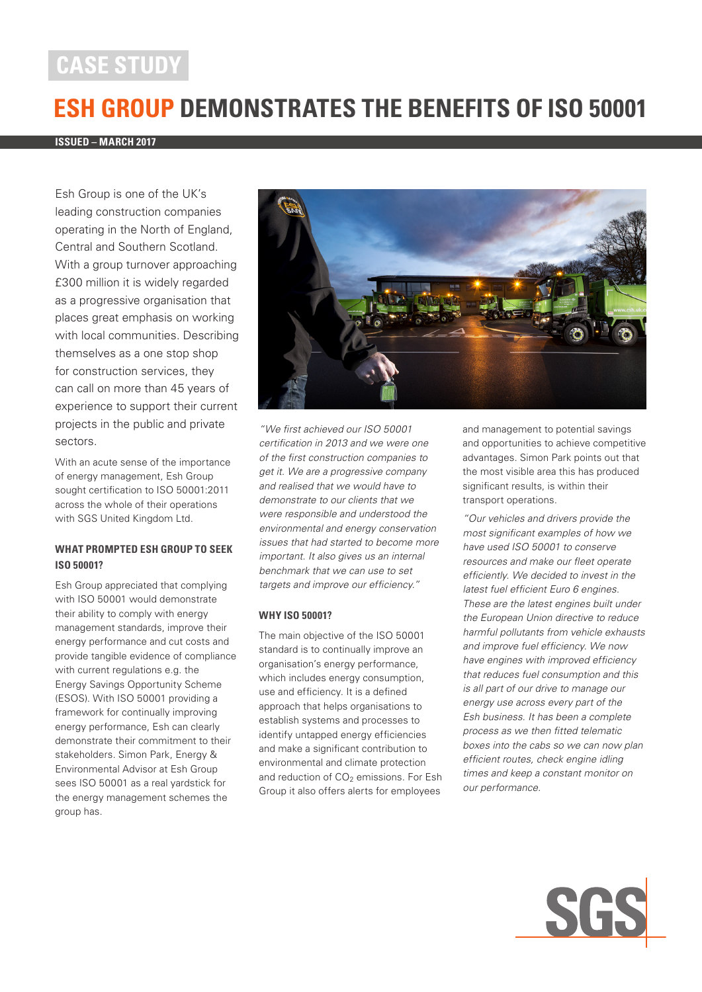# **CASE STUDY**

# **ESH GROUP DEMONSTRATES THE BENEFITS OF ISO 50001**

#### **ISSUED – MARCH 2017**

Esh Group is one of the UK's leading construction companies operating in the North of England, Central and Southern Scotland. With a group turnover approaching £300 million it is widely regarded as a progressive organisation that places great emphasis on working with local communities. Describing themselves as a one stop shop for construction services, they can call on more than 45 years of experience to support their current projects in the public and private sectors.

With an acute sense of the importance of energy management, Esh Group sought certification to ISO 50001:2011 across the whole of their operations with SGS United Kingdom Ltd.

## **WHAT PROMPTED ESH GROUP TO SEEK ISO 50001?**

Esh Group appreciated that complying with ISO 50001 would demonstrate their ability to comply with energy management standards, improve their energy performance and cut costs and provide tangible evidence of compliance with current regulations e.g. the Energy Savings Opportunity Scheme (ESOS). With ISO 50001 providing a framework for continually improving energy performance, Esh can clearly demonstrate their commitment to their stakeholders. Simon Park, Energy & Environmental Advisor at Esh Group sees ISO 50001 as a real yardstick for the energy management schemes the group has.



"We first achieved our ISO 50001 certification in 2013 and we were one of the first construction companies to get it. We are a progressive company and realised that we would have to demonstrate to our clients that we were responsible and understood the environmental and energy conservation issues that had started to become more important. It also gives us an internal benchmark that we can use to set targets and improve our efficiency."

#### **WHY ISO 50001?**

The main objective of the ISO 50001 standard is to continually improve an organisation's energy performance, which includes energy consumption, use and efficiency. It is a defined approach that helps organisations to establish systems and processes to identify untapped energy efficiencies and make a significant contribution to environmental and climate protection and reduction of  $CO<sub>2</sub>$  emissions. For Esh Group it also offers alerts for employees

and management to potential savings and opportunities to achieve competitive advantages. Simon Park points out that the most visible area this has produced significant results, is within their transport operations.

"Our vehicles and drivers provide the most significant examples of how we have used ISO 50001 to conserve resources and make our fleet operate efficiently. We decided to invest in the latest fuel efficient Euro 6 engines. These are the latest engines built under the European Union directive to reduce harmful pollutants from vehicle exhausts and improve fuel efficiency. We now have engines with improved efficiency that reduces fuel consumption and this is all part of our drive to manage our energy use across every part of the Esh business. It has been a complete process as we then fitted telematic boxes into the cabs so we can now plan efficient routes, check engine idling times and keep a constant monitor on our performance.